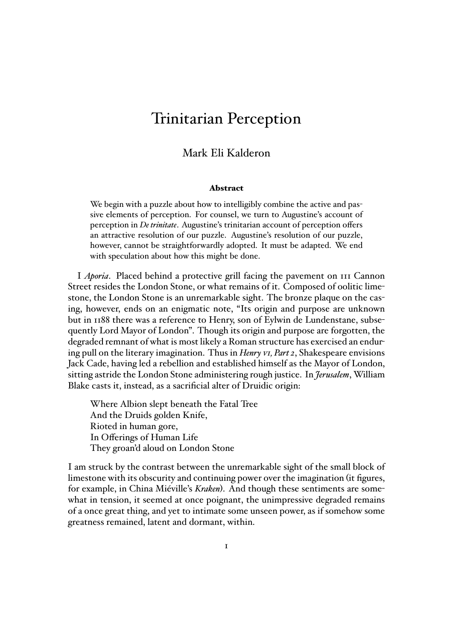## <span id="page-0-0"></span>Trinitarian Perception

## Mark Eli Kalderon

## **Abstract**

We begin with a puzzle about how to intelligibly combine the active and passive elements of perception. For counsel, we turn to Augustine's account of perception in *De trinitate*. Augustine's trinitarian account of perception offers an attractive resolution of our puzzle. Augustine's resolution of our puzzle, however, cannot be straightforwardly adopted. It must be adapted. We end with speculation about how this might be done.

I *Aporia*. Placed behind a protective grill facing the pavement on 111 Cannon Street resides the London Stone, or what remains of it. Composed of oolitic limestone, the London Stone is an unremarkable sight. The bronze plaque on the casing, however, ends on an enigmatic note, "Its origin and purpose are unknown but in 1188 there was a reference to Henry, son of Eylwin de Lundenstane, subsequently Lord Mayor of London". Though its origin and purpose are forgotten, the degraded remnant of what is most likely a Roman structure has exercised an enduring pull on the literary imagination. Thus in *Henry vi, Part 2*, Shakespeare envisions Jack Cade, having led a rebellion and established himself as the Mayor of London, sitting astride the London Stone administering rough justice. In *Jerusalem*, William Blake casts it, instead, as a sacrificial alter of Druidic origin:

Where Albion slept beneath the Fatal Tree And the Druids golden Knife, Rioted in human gore, In Offerings of Human Life They groan'd aloud on London Stone

I am struck by the contrast between the unremarkable sight of the small block of limestone with its obscurity and continuing power over the imagination (it figures, for example, in China Miéville's *Kraken*). And though these sentiments are somewhat in tension, it seemed at once poignant, the unimpressive degraded remains of a once great thing, and yet to intimate some unseen power, as if somehow some greatness remained, latent and dormant, within.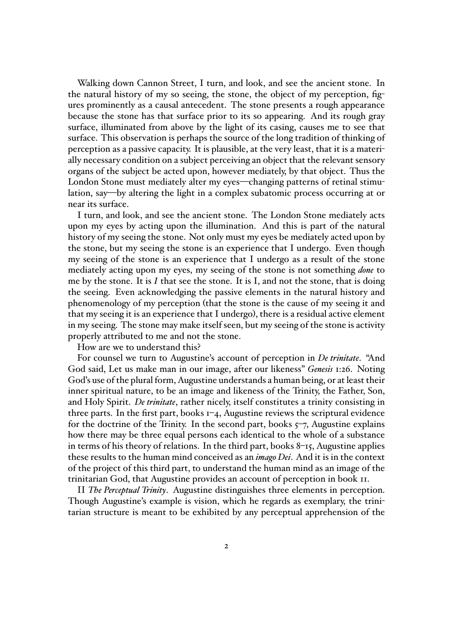Walking down Cannon Street, I turn, and look, and see the ancient stone. In the natural history of my so seeing, the stone, the object of my perception, figures prominently as a causal antecedent. The stone presents a rough appearance because the stone has that surface prior to its so appearing. And its rough gray surface, illuminated from above by the light of its casing, causes me to see that surface. This observation is perhaps the source of the long tradition of thinking of perception as a passive capacity. It is plausible, at the very least, that it is a materially necessary condition on a subject perceiving an object that the relevant sensory organs of the subject be acted upon, however mediately, by that object. Thus the London Stone must mediately alter my eyes—changing patterns of retinal stimulation, say—by altering the light in a complex subatomic process occurring at or near its surface.

I turn, and look, and see the ancient stone. The London Stone mediately acts upon my eyes by acting upon the illumination. And this is part of the natural history of my seeing the stone. Not only must my eyes be mediately acted upon by the stone, but my seeing the stone is an experience that I undergo. Even though my seeing of the stone is an experience that I undergo as a result of the stone mediately acting upon my eyes, my seeing of the stone is not something *done* to me by the stone. It is *I* that see the stone. It is I, and not the stone, that is doing the seeing. Even acknowledging the passive elements in the natural history and phenomenology of my perception (that the stone is the cause of my seeing it and that my seeing it is an experience that I undergo), there is a residual active element in my seeing. The stone may make itself seen, but my seeing of the stone is activity properly attributed to me and not the stone.

How are we to understand this?

For counsel we turn to Augustine's account of perception in *De trinitate*. "And God said, Let us make man in our image, after our likeness" *Genesis* 1:26. Noting God's use of the plural form, Augustine understands a human being, or at least their inner spiritual nature, to be an image and likeness of the Trinity, the Father, Son, and Holy Spirit. *De trinitate*, rather nicely, itself constitutes a trinity consisting in three parts. In the first part, books  $I_4$ , Augustine reviews the scriptural evidence for the doctrine of the Trinity. In the second part, books  $\zeta$ –7, Augustine explains how there may be three equal persons each identical to the whole of a substance in terms of his theory of relations. In the third part, books 8–15, Augustine applies these results to the human mind conceived as an *imago Dei*. And it is in the context of the project of this third part, to understand the human mind as an image of the trinitarian God, that Augustine provides an account of perception in book 11.

II *The Perceptual Trinity*. Augustine distinguishes three elements in perception. Though Augustine's example is vision, which he regards as exemplary, the trinitarian structure is meant to be exhibited by any perceptual apprehension of the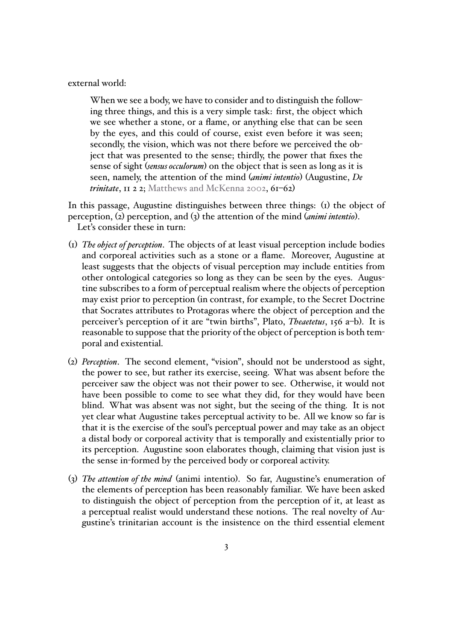external world:

When we see a body, we have to consider and to distinguish the following three things, and this is a very simple task: first, the object which we see whether a stone, or a flame, or anything else that can be seen by the eyes, and this could of course, exist even before it was seen; secondly, the vision, which was not there before we perceived the object that was presented to the sense; thirdly, the power that fixes the sense of sight (*sensus occulorum*) on the object that is seen as long as it is seen, namely, the attention of the mind (*animi intentio*) (Augustine, *De trinitate*, 11 2 2; Matthews and McKenna 2002, 61–62)

In this passage, Augustine distinguishes between three things: (1) the object of perception, (2) perception, and (3) the attention of the mind (*animi intentio*). Let's consider the[se in turn:](#page-16-0)

- (1) *The object of perception*. The objects of at least visual perception include bodies and corporeal activities such as a stone or a flame. Moreover, Augustine at least suggests that the objects of visual perception may include entities from other ontological categories so long as they can be seen by the eyes. Augustine subscribes to a form of perceptual realism where the objects of perception may exist prior to perception (in contrast, for example, to the Secret Doctrine that Socrates attributes to Protagoras where the object of perception and the perceiver's perception of it are "twin births", Plato, *Theaetetus*, 156 a–b). It is reasonable to suppose that the priority of the object of perception is both temporal and existential.
- (2) *Perception*. The second element, "vision", should not be understood as sight, the power to see, but rather its exercise, seeing. What was absent before the perceiver saw the object was not their power to see. Otherwise, it would not have been possible to come to see what they did, for they would have been blind. What was absent was not sight, but the seeing of the thing. It is not yet clear what Augustine takes perceptual activity to be. All we know so far is that it is the exercise of the soul's perceptual power and may take as an object a distal body or corporeal activity that is temporally and existentially prior to its perception. Augustine soon elaborates though, claiming that vision just is the sense in-formed by the perceived body or corporeal activity.
- <span id="page-2-0"></span>(3) *The attention of the mind* (animi intentio). So far, Augustine's enumeration of the elements of perception has been reasonably familiar. We have been asked to distinguish the object of perception from the perception of it, at least as a perceptual realist would understand these notions. The real novelty of Augustine's trinitarian account is the insistence on the third essential element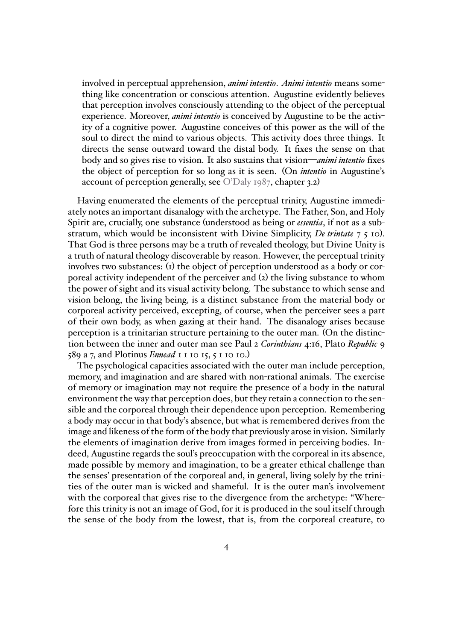involved in perceptual apprehension, *animi intentio*. *Animi intentio* means something like concentration or conscious attention. Augustine evidently believes that perception involves consciously attending to the object of the perceptual experience. Moreover, *animi intentio* is conceived by Augustine to be the activity of a cognitive power. Augustine conceives of this power as the will of the soul to direct the mind to various objects. This activity does three things. It directs the sense outward toward the distal body. It fixes the sense on that body and so gives rise to vision. It also sustains that vision—*animi intentio* fixes the object of perception for so long as it is seen. (On *intentio* in Augustine's account of perception generally, see O'Daly 1987, chapter 3.2)

Having enumerated the elements of the perceptual trinity, Augustine immediately notes an important disanalogy with the archetype. The Father, Son, and Holy Spirit are, crucially, one substance (und[erstood as be](#page-16-1)ing or *essentia*, if not as a substratum, which would be inconsistent with Divine Simplicity, *De trintate* 7 5 10). That God is three persons may be a truth of revealed theology, but Divine Unity is a truth of natural theology discoverable by reason. However, the perceptual trinity involves two substances: (1) the object of perception understood as a body or corporeal activity independent of the perceiver and (2) the living substance to whom the power of sight and its visual activity belong. The substance to which sense and vision belong, the living being, is a distinct substance from the material body or corporeal activity perceived, excepting, of course, when the perceiver sees a part of their own body, as when gazing at their hand. The disanalogy arises because perception is a trinitarian structure pertaining to the outer man. (On the distinction between the inner and outer man see Paul 2 *Corinthians* 4:16, Plato *Republic* 9 589 a 7, and Plotinus *Ennead* 1 1 10 15, 5 1 10 10.)

The psychological capacities associated with the outer man include perception, memory, and imagination and are shared with non-rational animals. The exercise of memory or imagination may not require the presence of a body in the natural environment the way that perception does, but they retain a connection to the sensible and the corporeal through their dependence upon perception. Remembering a body may occur in that body's absence, but what is remembered derives from the image and likeness of the form of the body that previously arose in vision. Similarly the elements of imagination derive from images formed in perceiving bodies. Indeed, Augustine regards the soul's preoccupation with the corporeal in its absence, made possible by memory and imagination, to be a greater ethical challenge than the senses' presentation of the corporeal and, in general, living solely by the trinities of the outer man is wicked and shameful. It is the outer man's involvement with the corporeal that gives rise to the divergence from the archetype: "Wherefore this trinity is not an image of God, for it is produced in the soul itself through the sense of the body from the lowest, that is, from the corporeal creature, to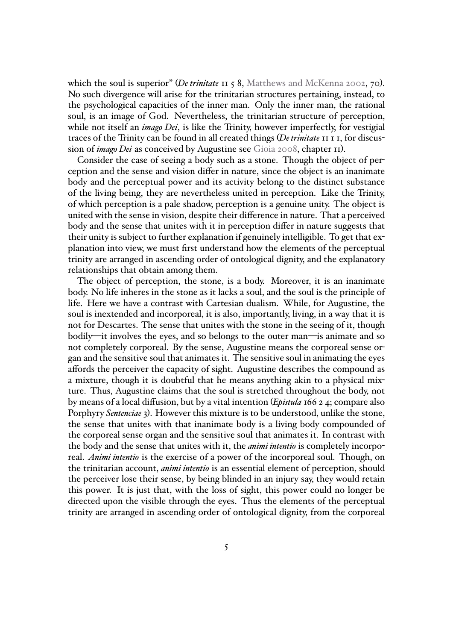which the soul is superior" (*De trinitate* 11 5 8, Matthews and McKenna 2002, 70). No such divergence will arise for the trinitarian structures pertaining, instead, to the psychological capacities of the inner man. Only the inner man, the rational soul, is an image of God. Nevertheless, the [trinitarian structure of percep](#page-16-0)tion, while not itself an *imago Dei*, is like the Trinity, however imperfectly, for vestigial traces of the Trinity can be found in all created things (*De trinitate* 11 1 1, for discussion of *imago Dei* as conceived by Augustine see Gioia 2008, chapter 11).

Consider the case of seeing a body such as a stone. Though the object of perception and the sense and vision differ in nature, since the object is an inanimate body and the perceptual power and its activit[y belong to](#page-16-2) the distinct substance of the living being, they are nevertheless united in perception. Like the Trinity, of which perception is a pale shadow, perception is a genuine unity. The object is united with the sense in vision, despite their difference in nature. That a perceived body and the sense that unites with it in perception differ in nature suggests that their unity is subject to further explanation if genuinely intelligible. To get that explanation into view, we must first understand how the elements of the perceptual trinity are arranged in ascending order of ontological dignity, and the explanatory relationships that obtain among them.

The object of perception, the stone, is a body. Moreover, it is an inanimate body. No life inheres in the stone as it lacks a soul, and the soul is the principle of life. Here we have a contrast with Cartesian dualism. While, for Augustine, the soul is inextended and incorporeal, it is also, importantly, living, in a way that it is not for Descartes. The sense that unites with the stone in the seeing of it, though bodily—it involves the eyes, and so belongs to the outer man—is animate and so not completely corporeal. By the sense, Augustine means the corporeal sense organ and the sensitive soul that animates it. The sensitive soul in animating the eyes affords the perceiver the capacity of sight. Augustine describes the compound as a mixture, though it is doubtful that he means anything akin to a physical mixture. Thus, Augustine claims that the soul is stretched throughout the body, not by means of a local diffusion, but by a vital intention (*Epistula* 166 2 4; compare also Porphyry *Sentenciae* 3). However this mixture is to be understood, unlike the stone, the sense that unites with that inanimate body is a living body compounded of the corporeal sense organ and the sensitive soul that animates it. In contrast with the body and the sense that unites with it, the *animi intentio* is completely incorporeal. *Animi intentio* is the exercise of a power of the incorporeal soul. Though, on the trinitarian account, *animi intentio* is an essential element of perception, should the perceiver lose their sense, by being blinded in an injury say, they would retain this power. It is just that, with the loss of sight, this power could no longer be directed upon the visible through the eyes. Thus the elements of the perceptual trinity are arranged in ascending order of ontological dignity, from the corporeal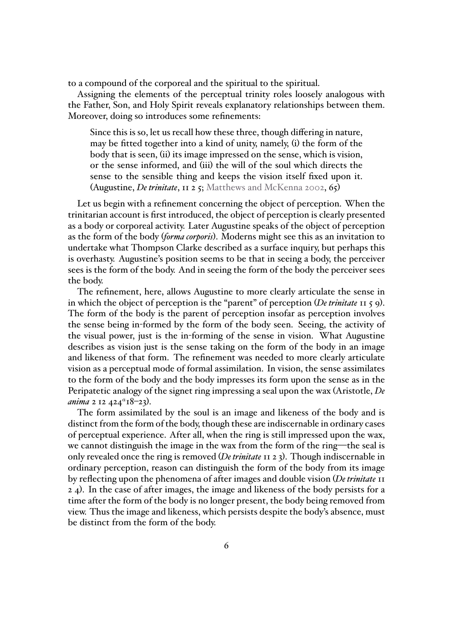to a compound of the corporeal and the spiritual to the spiritual.

Assigning the elements of the perceptual trinity roles loosely analogous with the Father, Son, and Holy Spirit reveals explanatory relationships between them. Moreover, doing so introduces some refinements:

Since this is so, let us recall how these three, though differing in nature, may be fitted together into a kind of unity, namely, (i) the form of the body that is seen, (ii) its image impressed on the sense, which is vision, or the sense informed, and (iii) the will of the soul which directs the sense to the sensible thing and keeps the vision itself fixed upon it. (Augustine, *De trinitate*, 11 2 5; Matthews and McKenna 2002, 65)

Let us begin with a refinement concerning the object of perception. When the trinitarian account is first introduced, the object of perception is clearly presented as a body or corporeal activity. Late[r Augustine speaks of the objec](#page-16-0)t of perception as the form of the body (*forma corporis*). Moderns might see this as an invitation to undertake what Thompson Clarke described as a surface inquiry, but perhaps this is overhasty. Augustine's position seems to be that in seeing a body, the perceiver sees is the form of the body. And in seeing the form of the body the perceiver sees the body.

The refinement, here, allows Augustine to more clearly articulate the sense in in which the object of perception is the "parent" of perception (*De trinitate* 11 5 9). The form of the body is the parent of perception insofar as perception involves the sense being in-formed by the form of the body seen. Seeing, the activity of the visual power, just is the in-forming of the sense in vision. What Augustine describes as vision just is the sense taking on the form of the body in an image and likeness of that form. The refinement was needed to more clearly articulate vision as a perceptual mode of formal assimilation. In vision, the sense assimilates to the form of the body and the body impresses its form upon the sense as in the Peripatetic analogy of the signet ring impressing a seal upon the wax (Aristotle, *De anima* 2 12 424*<sup>a</sup>* 18–23).

The form assimilated by the soul is an image and likeness of the body and is distinct from the form of the body, though these are indiscernable in ordinary cases of perceptual experience. After all, when the ring is still impressed upon the wax, we cannot distinguish the image in the wax from the form of the ring—the seal is only revealed once the ring is removed (*De trinitate* 11 2 3). Though indiscernable in ordinary perception, reason can distinguish the form of the body from its image by reflecting upon the phenomena of after images and double vision (*De trinitate* 11 2 4). In the case of after images, the image and likeness of the body persists for a time after the form of the body is no longer present, the body being removed from view. Thus the image and likeness, which persists despite the body's absence, must be distinct from the form of the body.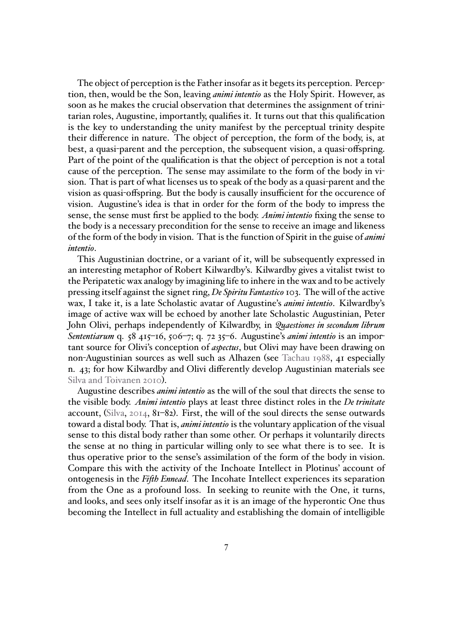The object of perception is the Father insofar as it begets its perception. Perception, then, would be the Son, leaving *animi intentio* as the Holy Spirit. However, as soon as he makes the crucial observation that determines the assignment of trinitarian roles, Augustine, importantly, qualifies it. It turns out that this qualification is the key to understanding the unity manifest by the perceptual trinity despite their difference in nature. The object of perception, the form of the body, is, at best, a quasi-parent and the perception, the subsequent vision, a quasi-offspring. Part of the point of the qualification is that the object of perception is not a total cause of the perception. The sense may assimilate to the form of the body in vision. That is part of what licenses us to speak of the body as a quasi-parent and the vision as quasi-offspring. But the body is causally insufficient for the occurence of vision. Augustine's idea is that in order for the form of the body to impress the sense, the sense must first be applied to the body. *Animi intentio* fixing the sense to the body is a necessary precondition for the sense to receive an image and likeness of the form of the body in vision. That is the function of Spirit in the guise of *animi intentio*.

This Augustinian doctrine, or a variant of it, will be subsequently expressed in an interesting metaphor of Robert Kilwardby's. Kilwardby gives a vitalist twist to the Peripatetic wax analogy by imagining life to inhere in the wax and to be actively pressing itself against the signet ring, *De Spiritu Fantastico* 103. The will of the active wax, I take it, is a late Scholastic avatar of Augustine's *animi intentio*. Kilwardby's image of active wax will be echoed by another late Scholastic Augustinian, Peter John Olivi, perhaps independently of Kilwardby, in *Quaestiones in secondum librum Sententiarum* q. 58 415–16, 506–7; q. 72 35–6. Augustine's *animi intentio* is an important source for Olivi's conception of *aspectus*, but Olivi may have been drawing on non-Augustinian sources as well such as Alhazen (see Tachau 1988, 41 especially n. 43; for how Kilwardby and Olivi differently develop Augustinian materials see Silva and Toivanen 2010).

Augustine describes *animi intentio* as the will of the s[oul that](#page-17-0) [direct](#page-17-0)s the sense to the visible body. *Animi intentio* plays at least three distinct roles in the *De trinitate* account, (Silva,  $2014$ ,  $81-82$ ). First, the will of the soul directs the sense outwards [toward a distal bod](#page-17-1)y. That is, *animi intentio* is the voluntary application of the visual sense to this distal body rather than some other. Or perhaps it voluntarily directs the sense [at no thin](#page-16-3)g in particular willing only to see what there is to see. It is thus operative prior to the sense's assimilation of the form of the body in vision. Compare this with the activity of the Inchoate Intellect in Plotinus' account of ontogenesis in the *Fifth Ennead*. The Incohate Intellect experiences its separation from the One as a profound loss. In seeking to reunite with the One, it turns, and looks, and sees only itself insofar as it is an image of the hyperontic One thus becoming the Intellect in full actuality and establishing the domain of intelligible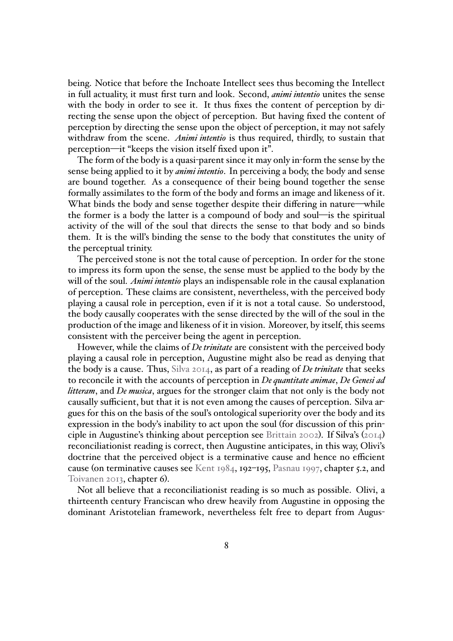being. Notice that before the Inchoate Intellect sees thus becoming the Intellect in full actuality, it must first turn and look. Second, *animi intentio* unites the sense with the body in order to see it. It thus fixes the content of perception by directing the sense upon the object of perception. But having fixed the content of perception by directing the sense upon the object of perception, it may not safely withdraw from the scene. *Animi intentio* is thus required, thirdly, to sustain that perception—it "keeps the vision itself fixed upon it".

The form of the body is a quasi-parent since it may only in-form the sense by the sense being applied to it by *animi intentio*. In perceiving a body, the body and sense are bound together. As a consequence of their being bound together the sense formally assimilates to the form of the body and forms an image and likeness of it. What binds the body and sense together despite their differing in nature—while the former is a body the latter is a compound of body and soul—is the spiritual activity of the will of the soul that directs the sense to that body and so binds them. It is the will's binding the sense to the body that constitutes the unity of the perceptual trinity.

The perceived stone is not the total cause of perception. In order for the stone to impress its form upon the sense, the sense must be applied to the body by the will of the soul. *Animi intentio* plays an indispensable role in the causal explanation of perception. These claims are consistent, nevertheless, with the perceived body playing a causal role in perception, even if it is not a total cause. So understood, the body causally cooperates with the sense directed by the will of the soul in the production of the image and likeness of it in vision. Moreover, by itself, this seems consistent with the perceiver being the agent in perception.

However, while the claims of *De trinitate* are consistent with the perceived body playing a causal role in perception, Augustine might also be read as denying that the body is a cause. Thus, Silva 2014, as part of a reading of *De trinitate* that seeks to reconcile it with the accounts of perception in *De quantitate animae*, *De Genesi ad litteram*, and *De musica*, argues for the stronger claim that not only is the body not causally sufficient, but tha[t it is not e](#page-16-3)ven among the causes of perception. Silva argues for this on the basis of the soul's ontological superiority over the body and its expression in the body's inability to act upon the soul (for discussion of this principle in Augustine's thinking about perception see Brittain 2002). If Silva's (2014) reconciliationist reading is correct, then Augustine anticipates, in this way, Olivi's doctrine that the perceived object is a terminative cause and hence no efficient cause (on terminative causes see Kent 1984, 192–195, [Pasnau](#page-15-0) [1997](#page-15-0), chapter 5.[2, and](#page-16-3) Toivanen 2013, chapter 6).

Not all believe that a reconciliationist reading is so much as possible. Olivi, a thirteenth century Franciscan w[ho drew he](#page-16-4)avily fro[m Augustine](#page-16-5) in opposing the [dominant Aris](#page-17-2)totelian framework, nevertheless felt free to depart from Augus-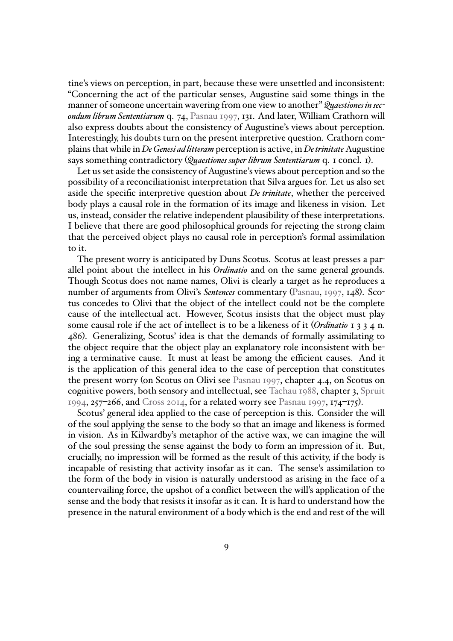tine's views on perception, in part, because these were unsettled and inconsistent: "Concerning the act of the particular senses, Augustine said some things in the manner of someone uncertain wavering from one view to another" *Quaestiones in secondum librum Sententiarum* q. 74, Pasnau 1997, 131. And later, William Crathorn will also express doubts about the consistency of Augustine's views about perception. Interestingly, his doubts turn on the present interpretive question. Crathorn complains that while in *De Genesi ad l[itteram](#page-16-5)* [percep](#page-16-5)tion is active, in *De trinitate* Augustine says something contradictory (*Quaestiones super librum Sententiarum* q. 1 concl. 1).

Let us set aside the consistency of Augustine's views about perception and so the possibility of a reconciliationist interpretation that Silva argues for. Let us also set aside the specific interpretive question about *De trinitate*, whether the perceived body plays a causal role in the formation of its image and likeness in vision. Let us, instead, consider the relative independent plausibility of these interpretations. I believe that there are good philosophical grounds for rejecting the strong claim that the perceived object plays no causal role in perception's formal assimilation to it.

The present worry is anticipated by Duns Scotus. Scotus at least presses a parallel point about the intellect in his *Ordinatio* and on the same general grounds. Though Scotus does not name names, Olivi is clearly a target as he reproduces a number of arguments from Olivi's *Sentences* commentary (Pasnau, 1997, 148). Scotus concedes to Olivi that the object of the intellect could not be the complete cause of the intellectual act. However, Scotus insists that the object must play some causal role if the act of intellect is to be a likeness of it (*Or[dinat](#page-16-5)io* 1 3 3 4 n. 486). Generalizing, Scotus' idea is that the demands of [formall](#page-16-5)y assimilating to the object require that the object play an explanatory role inconsistent with being a terminative cause. It must at least be among the efficient causes. And it is the application of this general idea to the case of perception that constitutes the present worry (on Scotus on Olivi see Pasnau 1997, chapter 4.4, on Scotus on cognitive powers, both sensory and intellectual, see Tachau 1988, chapter 3, Spruit 1994, 257–266, and Cross 2014, for a related worry see Pasnau 1997, 174–175).

Scotus' general idea applied to the case [of perceptio](#page-16-5)n is this. Consider the will of the soul applying the sense to the body so that a[n image and l](#page-17-0)ikeness is f[ormed](#page-17-3) [in vis](#page-17-3)ion. As in Ki[lwardby's m](#page-16-6)etaphor of the active [wax, we can im](#page-16-5)agine the will of the soul pressing the sense against the body to form an impression of it. But, crucially, no impression will be formed as the result of this activity, if the body is incapable of resisting that activity insofar as it can. The sense's assimilation to the form of the body in vision is naturally understood as arising in the face of a countervailing force, the upshot of a conflict between the will's application of the sense and the body that resists it insofar as it can. It is hard to understand how the presence in the natural environment of a body which is the end and rest of the will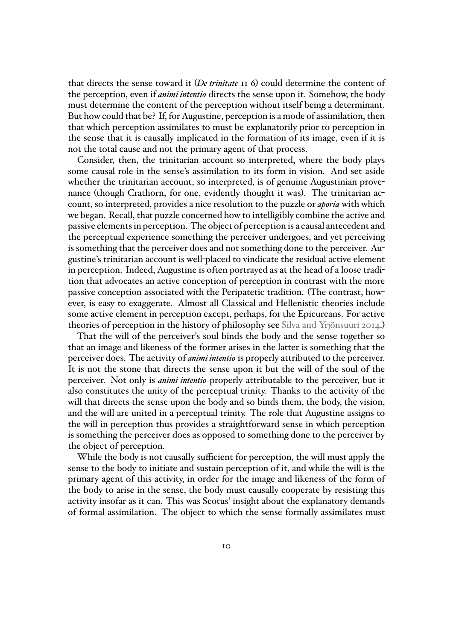that directs the sense toward it (*De trinitate* 11 6) could determine the content of the perception, even if *animi intentio* directs the sense upon it. Somehow, the body must determine the content of the perception without itself being a determinant. But how could that be? If, for Augustine, perception is a mode of assimilation, then that which perception assimilates to must be explanatorily prior to perception in the sense that it is causally implicated in the formation of its image, even if it is not the total cause and not the primary agent of that process.

Consider, then, the trinitarian account so interpreted, where the body plays some causal role in the sense's assimilation to its form in vision. And set aside whether the trinitarian account, so interpreted, is of genuine Augustinian provenance (though Crathorn, for one, evidently thought it was). The trinitarian account, so interpreted, provides a nice resolution to the puzzle or *aporia* with which we began. Recall, that puzzle concerned how to intelligibly combine the active and passive elements in perception. The object of perception is a causal antecedent and the perceptual experience something the perceiver undergoes, and yet perceiving is something that the perceiver does and not something done to the perceiver. Augustine's trinitarian account is well-placed to vindicate the residual active element in perception. Indeed, Augustine is often portrayed as at the head of a loose tradition that advocates an active conception of perception in contrast with the more passive conception associated with the Peripatetic tradition. (The contrast, however, is easy to exaggerate. Almost all Classical and Hellenistic theories include some active element in perception except, perhaps, for the Epicureans. For active theories of perception in the history of philosophy see Silva and Yrjönsuuri 2014.)

That the will of the perceiver's soul binds the body and the sense together so that an image and likeness of the former arises in the latter is something that the perceiver does. The activity of *animi intentio* is properly [attributed to the perceive](#page-17-4)r. It is not the stone that directs the sense upon it but the will of the soul of the perceiver. Not only is *animi intentio* properly attributable to the perceiver, but it also constitutes the unity of the perceptual trinity. Thanks to the activity of the will that directs the sense upon the body and so binds them, the body, the vision, and the will are united in a perceptual trinity. The role that Augustine assigns to the will in perception thus provides a straightforward sense in which perception is something the perceiver does as opposed to something done to the perceiver by the object of perception.

While the body is not causally sufficient for perception, the will must apply the sense to the body to initiate and sustain perception of it, and while the will is the primary agent of this activity, in order for the image and likeness of the form of the body to arise in the sense, the body must causally cooperate by resisting this activity insofar as it can. This was Scotus' insight about the explanatory demands of formal assimilation. The object to which the sense formally assimilates must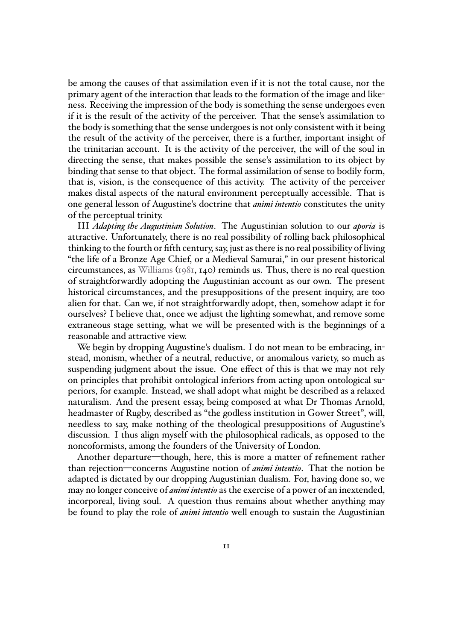be among the causes of that assimilation even if it is not the total cause, nor the primary agent of the interaction that leads to the formation of the image and likeness. Receiving the impression of the body is something the sense undergoes even if it is the result of the activity of the perceiver. That the sense's assimilation to the body is something that the sense undergoes is not only consistent with it being the result of the activity of the perceiver, there is a further, important insight of the trinitarian account. It is the activity of the perceiver, the will of the soul in directing the sense, that makes possible the sense's assimilation to its object by binding that sense to that object. The formal assimilation of sense to bodily form, that is, vision, is the consequence of this activity. The activity of the perceiver makes distal aspects of the natural environment perceptually accessible. That is one general lesson of Augustine's doctrine that *animi intentio* constitutes the unity of the perceptual trinity.

III *Adapting the Augustinian Solution*. The Augustinian solution to our *aporia* is attractive. Unfortunately, there is no real possibility of rolling back philosophical thinking to the fourth or fifth century, say, just as there is no real possibility of living "the life of a Bronze Age Chief, or a Medieval Samurai," in our present historical circumstances, as Williams (1981, 140) reminds us. Thus, there is no real question of straightforwardly adopting the Augustinian account as our own. The present historical circumstances, and the presuppositions of the present inquiry, are too alien for that. Ca[n we, if not stra](#page-17-5)ightforwardly adopt, then, somehow adapt it for ourselves? I believe that, once we adjust the lighting somewhat, and remove some extraneous stage setting, what we will be presented with is the beginnings of a reasonable and attractive view.

We begin by dropping Augustine's dualism. I do not mean to be embracing, instead, monism, whether of a neutral, reductive, or anomalous variety, so much as suspending judgment about the issue. One effect of this is that we may not rely on principles that prohibit ontological inferiors from acting upon ontological superiors, for example. Instead, we shall adopt what might be described as a relaxed naturalism. And the present essay, being composed at what Dr Thomas Arnold, headmaster of Rugby, described as "the godless institution in Gower Street", will, needless to say, make nothing of the theological presuppositions of Augustine's discussion. I thus align myself with the philosophical radicals, as opposed to the noncoformists, among the founders of the University of London.

Another departure—though, here, this is more a matter of refinement rather than rejection—concerns Augustine notion of *animi intentio*. That the notion be adapted is dictated by our dropping Augustinian dualism. For, having done so, we may no longer conceive of *animi intentio* as the exercise of a power of an inextended, incorporeal, living soul. A question thus remains about whether anything may be found to play the role of *animi intentio* well enough to sustain the Augustinian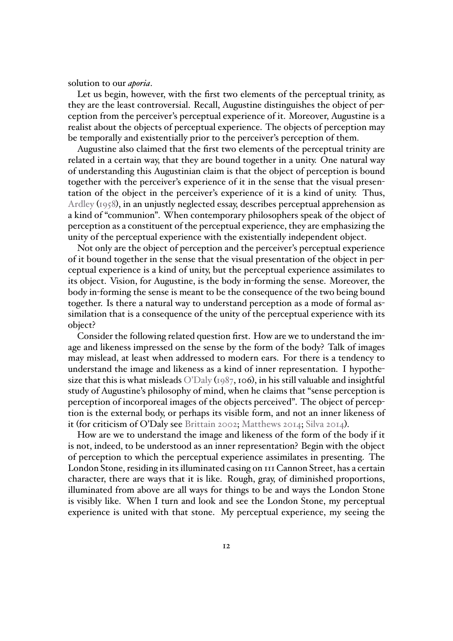solution to our *aporia*.

Let us begin, however, with the first two elements of the perceptual trinity, as they are the least controversial. Recall, Augustine distinguishes the object of perception from the perceiver's perceptual experience of it. Moreover, Augustine is a realist about the objects of perceptual experience. The objects of perception may be temporally and existentially prior to the perceiver's perception of them.

Augustine also claimed that the first two elements of the perceptual trinity are related in a certain way, that they are bound together in a unity. One natural way of understanding this Augustinian claim is that the object of perception is bound together with the perceiver's experience of it in the sense that the visual presentation of the object in the perceiver's experience of it is a kind of unity. Thus, Ardley (1958), in an unjustly neglected essay, describes perceptual apprehension as a kind of "communion". When contemporary philosophers speak of the object of perception as a constituent of the perceptual experience, they are emphasizing the [unity o](#page-15-1)f [the](#page-15-1) perceptual experience with the existentially independent object.

Not only are the object of perception and the perceiver's perceptual experience of it bound together in the sense that the visual presentation of the object in perceptual experience is a kind of unity, but the perceptual experience assimilates to its object. Vision, for Augustine, is the body in-forming the sense. Moreover, the body in-forming the sense is meant to be the consequence of the two being bound together. Is there a natural way to understand perception as a mode of formal assimilation that is a consequence of the unity of the perceptual experience with its object?

Consider the following related question first. How are we to understand the image and likeness impressed on the sense by the form of the body? Talk of images may mislead, at least when addressed to modern ears. For there is a tendency to understand the image and likeness as a kind of inner representation. I hypothesize that this is what misleads O'Daly (1987, 106), in his still valuable and insightful study of Augustine's philosophy of mind, when he claims that "sense perception is perception of incorporeal images of the objects perceived". The object of perception is the external body, or p[erhaps its vis](#page-16-1)ible form, and not an inner likeness of it (for criticism of O'Daly see Brittain 2002; Matthews 2014; Silva 2014).

How are we to understand the image and likeness of the form of the body if it is not, indeed, to be understood as an inner representation? Begin with the object of perception to which the p[erceptual expe](#page-15-0)[rience assimilate](#page-16-7)[s in presen](#page-16-3)ting. The London Stone, residing in its illuminated casing on 111 Cannon Street, has a certain character, there are ways that it is like. Rough, gray, of diminished proportions, illuminated from above are all ways for things to be and ways the London Stone is visibly like. When I turn and look and see the London Stone, my perceptual experience is united with that stone. My perceptual experience, my seeing the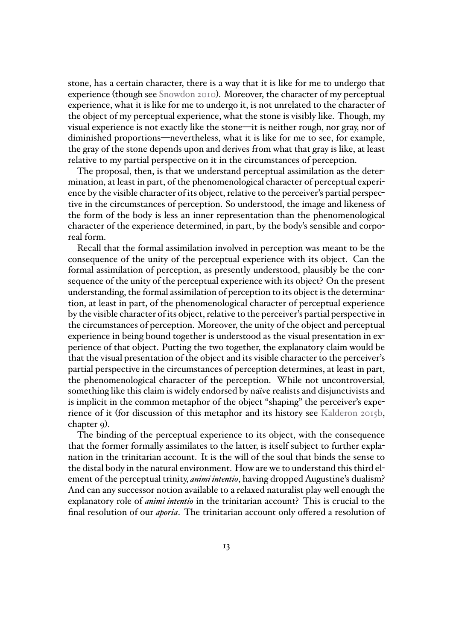stone, has a certain character, there is a way that it is like for me to undergo that experience (though see Snowdon 2010). Moreover, the character of my perceptual experience, what it is like for me to undergo it, is not unrelated to the character of the object of my perceptual experience, what the stone is visibly like. Though, my visual experience is not [exactly like the](#page-17-6) stone—it is neither rough, nor gray, nor of diminished proportions—nevertheless, what it is like for me to see, for example, the gray of the stone depends upon and derives from what that gray is like, at least relative to my partial perspective on it in the circumstances of perception.

The proposal, then, is that we understand perceptual assimilation as the determination, at least in part, of the phenomenological character of perceptual experience by the visible character of its object, relative to the perceiver's partial perspective in the circumstances of perception. So understood, the image and likeness of the form of the body is less an inner representation than the phenomenological character of the experience determined, in part, by the body's sensible and corporeal form.

Recall that the formal assimilation involved in perception was meant to be the consequence of the unity of the perceptual experience with its object. Can the formal assimilation of perception, as presently understood, plausibly be the consequence of the unity of the perceptual experience with its object? On the present understanding, the formal assimilation of perception to its object is the determination, at least in part, of the phenomenological character of perceptual experience by the visible character of its object, relative to the perceiver's partial perspective in the circumstances of perception. Moreover, the unity of the object and perceptual experience in being bound together is understood as the visual presentation in experience of that object. Putting the two together, the explanatory claim would be that the visual presentation of the object and its visible character to the perceiver's partial perspective in the circumstances of perception determines, at least in part, the phenomenological character of the perception. While not uncontroversial, something like this claim is widely endorsed by naïve realists and disjunctivists and is implicit in the common metaphor of the object "shaping" the perceiver's experience of it (for discussion of this metaphor and its history see Kalderon 2015b, chapter 9).

The binding of the perceptual experience to its object, with the consequence that the former formally assimilates to the latter, is itself subject [to further expla](#page-16-8)nation in the trinitarian account. It is the will of the soul that binds the sense to the distal body in the natural environment. How are we to understand this third element of the perceptual trinity, *animi intentio*, having dropped Augustine's dualism? And can any successor notion available to a relaxed naturalist play well enough the explanatory role of *animi intentio* in the trinitarian account? This is crucial to the final resolution of our *aporia*. The trinitarian account only offered a resolution of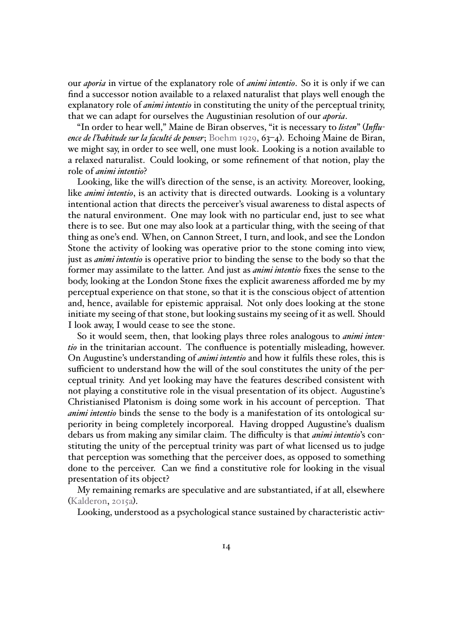our *aporia* in virtue of the explanatory role of *animi intentio*. So it is only if we can find a successor notion available to a relaxed naturalist that plays well enough the explanatory role of *animi intentio* in constituting the unity of the perceptual trinity, that we can adapt for ourselves the Augustinian resolution of our *aporia*.

"In order to hear well," Maine de Biran observes, "it is necessary to *listen*" (*Influence de l'habitude sur la faculté de penser*; Boehm 1929, 63–4). Echoing Maine de Biran, we might say, in order to see well, one must look. Looking is a notion available to a relaxed naturalist. Could looking, or some refinement of that notion, play the role of *animi intentio*?

Looking, like the will's direction [of the sense,](#page-15-2) is an activity. Moreover, looking, like *animi intentio*, is an activity that is directed outwards. Looking is a voluntary intentional action that directs the perceiver's visual awareness to distal aspects of the natural environment. One may look with no particular end, just to see what there is to see. But one may also look at a particular thing, with the seeing of that thing as one's end. When, on Cannon Street, I turn, and look, and see the London Stone the activity of looking was operative prior to the stone coming into view, just as *animi intentio* is operative prior to binding the sense to the body so that the former may assimilate to the latter. And just as *animi intentio* fixes the sense to the body, looking at the London Stone fixes the explicit awareness afforded me by my perceptual experience on that stone, so that it is the conscious object of attention and, hence, available for epistemic appraisal. Not only does looking at the stone initiate my seeing of that stone, but looking sustains my seeing of it as well. Should I look away, I would cease to see the stone.

So it would seem, then, that looking plays three roles analogous to *animi intentio* in the trinitarian account. The confluence is potentially misleading, however. On Augustine's understanding of *animi intentio* and how it fulfils these roles, this is sufficient to understand how the will of the soul constitutes the unity of the perceptual trinity. And yet looking may have the features described consistent with not playing a constitutive role in the visual presentation of its object. Augustine's Christianised Platonism is doing some work in his account of perception. That *animi intentio* binds the sense to the body is a manifestation of its ontological superiority in being completely incorporeal. Having dropped Augustine's dualism debars us from making any similar claim. The difficulty is that *animi intentio*'s constituting the unity of the perceptual trinity was part of what licensed us to judge that perception was something that the perceiver does, as opposed to something done to the perceiver. Can we find a constitutive role for looking in the visual presentation of its object?

My remaining remarks are speculative and are substantiated, if at all, elsewhere (Kalderon, 2015a).

Looking, understood as a psychological stance sustained by characteristic activ-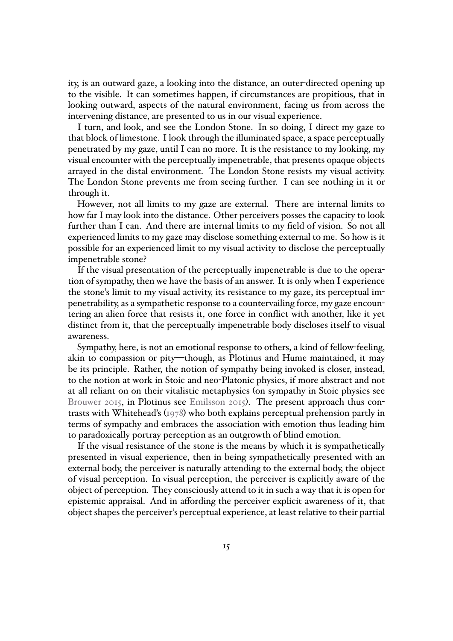ity, is an outward gaze, a looking into the distance, an outer-directed opening up to the visible. It can sometimes happen, if circumstances are propitious, that in looking outward, aspects of the natural environment, facing us from across the intervening distance, are presented to us in our visual experience.

I turn, and look, and see the London Stone. In so doing, I direct my gaze to that block of limestone. I look through the illuminated space, a space perceptually penetrated by my gaze, until I can no more. It is the resistance to my looking, my visual encounter with the perceptually impenetrable, that presents opaque objects arrayed in the distal environment. The London Stone resists my visual activity. The London Stone prevents me from seeing further. I can see nothing in it or through it.

However, not all limits to my gaze are external. There are internal limits to how far I may look into the distance. Other perceivers posses the capacity to look further than I can. And there are internal limits to my field of vision. So not all experienced limits to my gaze may disclose something external to me. So how is it possible for an experienced limit to my visual activity to disclose the perceptually impenetrable stone?

If the visual presentation of the perceptually impenetrable is due to the operation of sympathy, then we have the basis of an answer. It is only when I experience the stone's limit to my visual activity, its resistance to my gaze, its perceptual impenetrability, as a sympathetic response to a countervailing force, my gaze encountering an alien force that resists it, one force in conflict with another, like it yet distinct from it, that the perceptually impenetrable body discloses itself to visual awareness.

Sympathy, here, is not an emotional response to others, a kind of fellow-feeling, akin to compassion or pity—though, as Plotinus and Hume maintained, it may be its principle. Rather, the notion of sympathy being invoked is closer, instead, to the notion at work in Stoic and neo-Platonic physics, if more abstract and not at all reliant on on their vitalistic metaphysics (on sympathy in Stoic physics see Brouwer 2015, in Plotinus see Emilsson 2015). The present approach thus contrasts with Whitehead's (1978) who both explains perceptual prehension partly in terms of sympathy and embraces the association with emotion thus leading him [to paradoxical](#page-15-3)ly portray perce[ption as an outg](#page-16-9)rowth of blind emotion.

If the visual resistance [of th](#page-17-7)e stone is the means by which it is sympathetically presented in visual experience, then in being sympathetically presented with an external body, the perceiver is naturally attending to the external body, the object of visual perception. In visual perception, the perceiver is explicitly aware of the object of perception. They consciously attend to it in such a way that it is open for epistemic appraisal. And in affording the perceiver explicit awareness of it, that object shapes the perceiver's perceptual experience, at least relative to their partial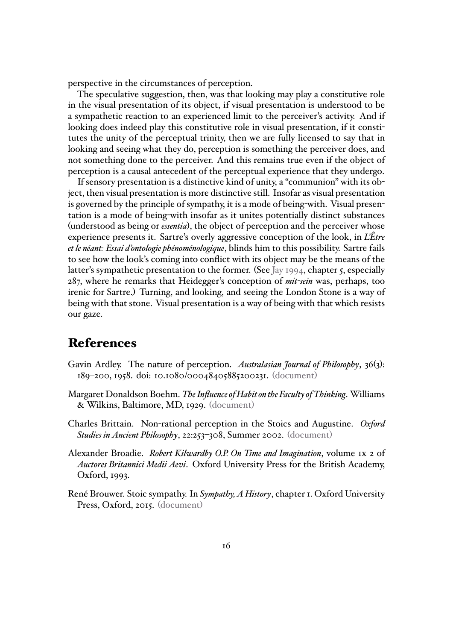perspective in the circumstances of perception.

The speculative suggestion, then, was that looking may play a constitutive role in the visual presentation of its object, if visual presentation is understood to be a sympathetic reaction to an experienced limit to the perceiver's activity. And if looking does indeed play this constitutive role in visual presentation, if it constitutes the unity of the perceptual trinity, then we are fully licensed to say that in looking and seeing what they do, perception is something the perceiver does, and not something done to the perceiver. And this remains true even if the object of perception is a causal antecedent of the perceptual experience that they undergo.

If sensory presentation is a distinctive kind of unity, a "communion" with its object, then visual presentation is more distinctive still. Insofar as visual presentation is governed by the principle of sympathy, it is a mode of being-with. Visual presentation is a mode of being-with insofar as it unites potentially distinct substances (understood as being or *essentia*), the object of perception and the perceiver whose experience presents it. Sartre's overly aggressive conception of the look, in *L'Être et le néant: Essai d'ontologie phénoménologique*, blinds him to this possibility. Sartre fails to see how the look's coming into conflict with its object may be the means of the latter's sympathetic presentation to the former. (See Jay 1994, chapter 5, especially 287, where he remarks that Heidegger's conception of *mit-sein* was, perhaps, too irenic for Sartre.) Turning, and looking, and seeing the London Stone is a way of being with that stone. Visual presentation is a way of [being w](#page-16-10)ith that which resists our gaze.

## **References**

- Gavin Ardley. The nature of perception. *Australasian Journal of Philosophy*, 36(3): 189–200, 1958. doi: 10.1080/00048405885200231. (document)
- <span id="page-15-1"></span>Margaret Donaldson Boehm. *The Influence of Habit on the Faculty of Thinking*. Williams & Wilkins, Baltimore, MD, 1929. (document)
- <span id="page-15-2"></span>Charles Brittain. Non-rational perception in the Stoics and Augustine. *Oxford Studies in Ancient Philosophy*, 22:253–[308, Summe](#page-0-0)r 2002. (document)
- <span id="page-15-0"></span>Alexander Broadie. *Robert Kilwardby O.P. On Time and Imagination*, volume ix 2 of *Auctores Britannici Medii Aevi*. Oxford University Press [for the Brit](#page-0-0)ish Academy, Oxford, 1993.
- <span id="page-15-3"></span>René Brouwer. Stoic sympathy. In *Sympathy, A History*, chapter 1. Oxford University Press, Oxford, 2015. (document)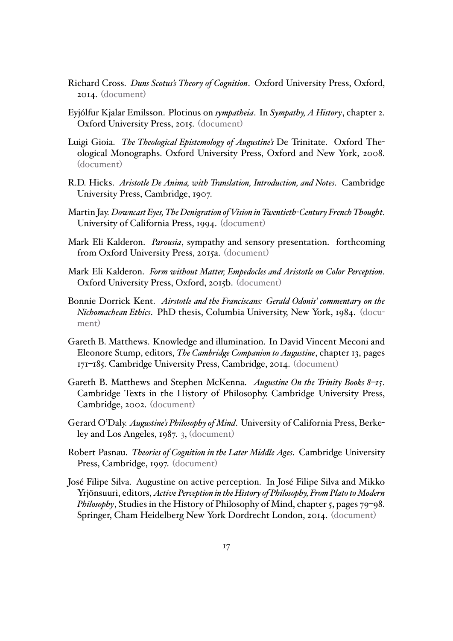- Richard Cross. *Duns Scotus's Theory of Cognition*. Oxford University Press, Oxford, 2014. (document)
- <span id="page-16-6"></span>Eyjólfur Kjalar Emilsson. Plotinus on *sympatheia*. In *Sympathy, A History*, chapter 2. Oxfor[d University](#page-0-0) Press, 2015. (document)
- <span id="page-16-9"></span>Luigi Gioia. *The Theological Epistemology of Augustine's* De Trinitate. Oxford Theological Monographs. Oxford [University P](#page-0-0)ress, Oxford and New York, 2008. (document)
- <span id="page-16-2"></span>R.D. Hicks. *Aristotle De Anima, with Translation, Introduction, and Notes*. Cambridge [University P](#page-0-0)ress, Cambridge, 1907.
- Martin Jay. *Downcast Eyes, The Denigration of Vision in Twentieth-Century French Thought*. University of California Press, 1994. (document)
- <span id="page-16-10"></span>Mark Eli Kalderon. *Parousia*, sympathy and sensory presentation. forthcoming from Oxford University Press, 2015a. [\(document](#page-0-0))
- Mark Eli Kalderon. *Form without Matter, Empedocles and Aristotle on Color Perception*. Oxford University Press, Oxford, 2015b. [\(docume](#page-0-0)nt)
- <span id="page-16-8"></span>Bonnie Dorrick Kent. *Airstotle and the Franciscans: Gerald Odonis' commentary on the Nichomachean Ethics*. PhD thesis, Colum[bia Universit](#page-0-0)y, New York, 1984. (document)
- <span id="page-16-4"></span>Gareth B. Matthews. Knowledge and illumination. In David Vincent Meconi and Eleonore Stump, editors, *The Cambridge Companion to Augustine*, chapter 13[, pages](#page-0-0) [171–18](#page-0-0)5. Cambridge University Press, Cambridge, 2014. (document)
- <span id="page-16-7"></span>Gareth B. Matthews and Stephen McKenna. *Augustine On the Trinity Books 8–15*. Cambridge Texts in the History of Philosophy. Cam[bridge Unive](#page-0-0)rsity Press, Cambridge, 2002. (document)
- <span id="page-16-0"></span>Gerard O'Daly. *Augustine's Philosophy of Mind*. University of California Press, Berkeley and Los Angel[es, 1987.](#page-0-0) 3, (document)
- <span id="page-16-1"></span>Robert Pasnau. *Theories of Cognition in the Later Middle Ages*. Cambridge University Press, Cambridge, 1997. (d[o](#page-2-0)c[ument\)](#page-0-0)
- <span id="page-16-5"></span><span id="page-16-3"></span>José Filipe Silva. Augustine on active perception. In José Filipe Silva and Mikko Yrjönsuuri, editors, *Active Perception in the History of Philosophy, From Plato to Modern Philosophy*, Studies in the [History of P](#page-0-0)hilosophy of Mind, chapter 5, pages 79–98. Springer, Cham Heidelberg New York Dordrecht London, 2014. (document)